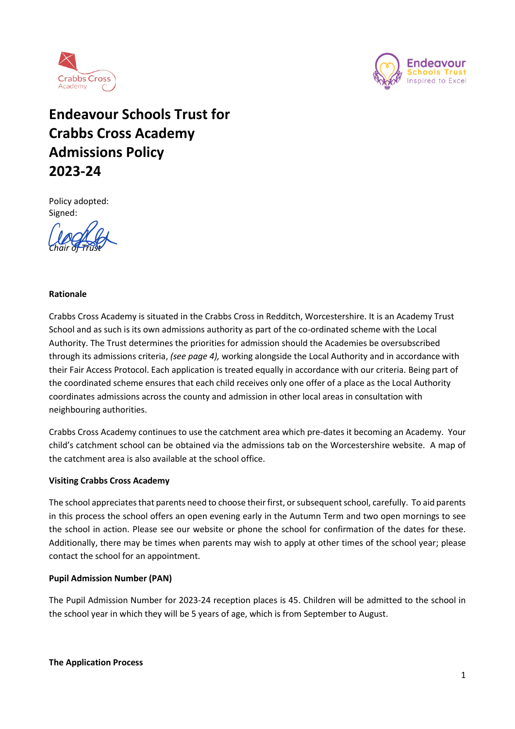



# **Endeavour Schools Trust for Crabbs Cross Academy Admissions Policy 2023-24**

Policy adopted: Signed:

*Chair of Trust*

### **Rationale**

Crabbs Cross Academy is situated in the Crabbs Cross in Redditch, Worcestershire. It is an Academy Trust School and as such is its own admissions authority as part of the co-ordinated scheme with the Local Authority. The Trust determines the priorities for admission should the Academies be oversubscribed through its admissions criteria, *(see page 4),* working alongside the Local Authority and in accordance with their Fair Access Protocol. Each application is treated equally in accordance with our criteria. Being part of the coordinated scheme ensures that each child receives only one offer of a place as the Local Authority coordinates admissions across the county and admission in other local areas in consultation with neighbouring authorities.

Crabbs Cross Academy continues to use the catchment area which pre-dates it becoming an Academy. Your child's catchment school can be obtained via the admissions tab on the Worcestershire website. A map of the catchment area is also available at the school office.

### **Visiting Crabbs Cross Academy**

The school appreciates that parents need to choose their first, or subsequent school, carefully. To aid parents in this process the school offers an open evening early in the Autumn Term and two open mornings to see the school in action. Please see our website or phone the school for confirmation of the dates for these. Additionally, there may be times when parents may wish to apply at other times of the school year; please contact the school for an appointment.

### **Pupil Admission Number (PAN)**

The Pupil Admission Number for 2023-24 reception places is 45. Children will be admitted to the school in the school year in which they will be 5 years of age, which is from September to August.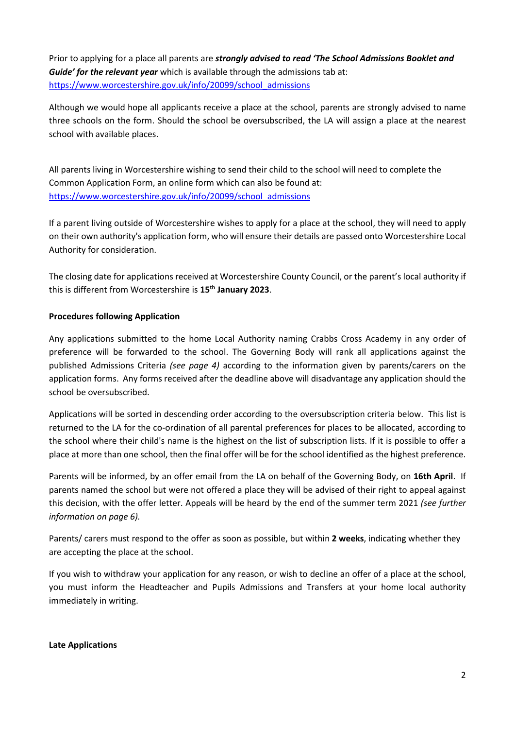Prior to applying for a place all parents are *strongly advised to read 'The School Admissions Booklet and Guide' for the relevant year* which is available through the admissions tab at: [https://www.worcestershire.gov.uk/info/20099/school\\_admissions](https://www.worcestershire.gov.uk/info/20099/school_admissions)

Although we would hope all applicants receive a place at the school, parents are strongly advised to name three schools on the form. Should the school be oversubscribed, the LA will assign a place at the nearest school with available places.

All parents living in Worcestershire wishing to send their child to the school will need to complete the Common Application Form, an online form which can also be found at: [https://www.worcestershire.gov.uk/info/20099/school\\_admissions](https://www.worcestershire.gov.uk/info/20099/school_admissions)

If a parent living outside of Worcestershire wishes to apply for a place at the school, they will need to apply on their own authority's application form, who will ensure their details are passed onto Worcestershire Local Authority for consideration.

The closing date for applications received at Worcestershire County Council, or the parent's local authority if this is different from Worcestershire is **15th January 2023**.

# **Procedures following Application**

Any applications submitted to the home Local Authority naming Crabbs Cross Academy in any order of preference will be forwarded to the school. The Governing Body will rank all applications against the published Admissions Criteria *(see page 4)* according to the information given by parents/carers on the application forms. Any forms received after the deadline above will disadvantage any application should the school be oversubscribed.

Applications will be sorted in descending order according to the oversubscription criteria below. This list is returned to the LA for the co-ordination of all parental preferences for places to be allocated, according to the school where their child's name is the highest on the list of subscription lists. If it is possible to offer a place at more than one school, then the final offer will be for the school identified as the highest preference.

Parents will be informed, by an offer email from the LA on behalf of the Governing Body, on **16th April**. If parents named the school but were not offered a place they will be advised of their right to appeal against this decision, with the offer letter. Appeals will be heard by the end of the summer term 2021 *(see further information on page 6).*

Parents/ carers must respond to the offer as soon as possible, but within **2 weeks**, indicating whether they are accepting the place at the school.

If you wish to withdraw your application for any reason, or wish to decline an offer of a place at the school, you must inform the Headteacher and Pupils Admissions and Transfers at your home local authority immediately in writing.

### **Late Applications**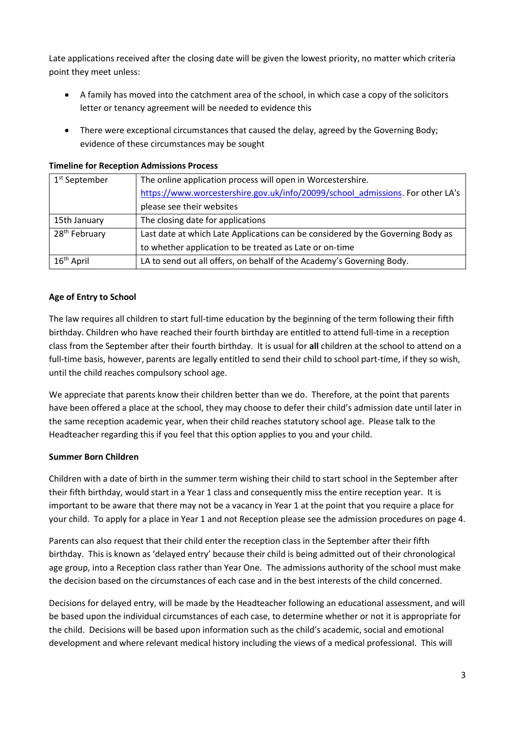Late applications received after the closing date will be given the lowest priority, no matter which criteria point they meet unless:

- A family has moved into the catchment area of the school, in which case a copy of the solicitors letter or tenancy agreement will be needed to evidence this
- There were exceptional circumstances that caused the delay, agreed by the Governing Body; evidence of these circumstances may be sought

# **Timeline for Reception Admissions Process**

| 1 <sup>st</sup> September | The online application process will open in Worcestershire.                     |
|---------------------------|---------------------------------------------------------------------------------|
|                           | https://www.worcestershire.gov.uk/info/20099/school admissions. For other LA's  |
|                           | please see their websites                                                       |
| 15th January              | The closing date for applications                                               |
| 28 <sup>th</sup> February | Last date at which Late Applications can be considered by the Governing Body as |
|                           | to whether application to be treated as Late or on-time                         |
| 16 <sup>th</sup> April    | LA to send out all offers, on behalf of the Academy's Governing Body.           |

# **Age of Entry to School**

The law requires all children to start full-time education by the beginning of the term following their fifth birthday. Children who have reached their fourth birthday are entitled to attend full-time in a reception class from the September after their fourth birthday. It is usual for **all** children at the school to attend on a full-time basis, however, parents are legally entitled to send their child to school part-time, if they so wish, until the child reaches compulsory school age.

We appreciate that parents know their children better than we do. Therefore, at the point that parents have been offered a place at the school, they may choose to defer their child's admission date until later in the same reception academic year, when their child reaches statutory school age. Please talk to the Headteacher regarding this if you feel that this option applies to you and your child.

# **Summer Born Children**

Children with a date of birth in the summer term wishing their child to start school in the September after their fifth birthday, would start in a Year 1 class and consequently miss the entire reception year. It is important to be aware that there may not be a vacancy in Year 1 at the point that you require a place for your child. To apply for a place in Year 1 and not Reception please see the admission procedures on page 4.

Parents can also request that their child enter the reception class in the September after their fifth birthday. This is known as 'delayed entry' because their child is being admitted out of their chronological age group, into a Reception class rather than Year One. The admissions authority of the school must make the decision based on the circumstances of each case and in the best interests of the child concerned.

Decisions for delayed entry, will be made by the Headteacher following an educational assessment, and will be based upon the individual circumstances of each case, to determine whether or not it is appropriate for the child. Decisions will be based upon information such as the child's academic, social and emotional development and where relevant medical history including the views of a medical professional. This will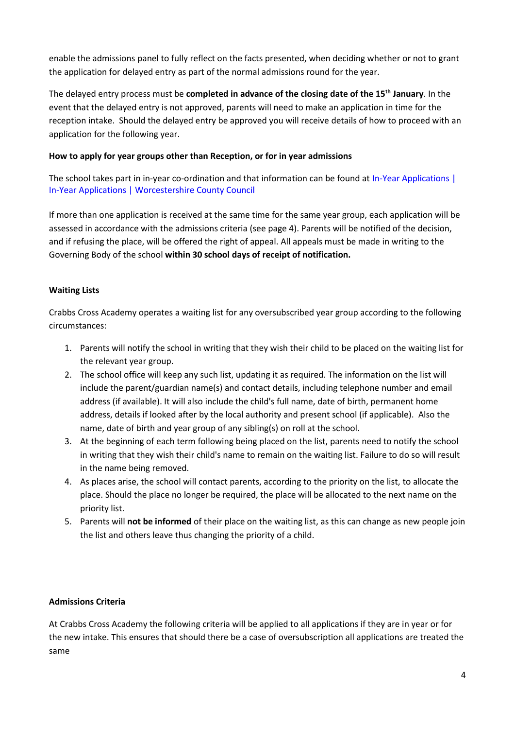enable the admissions panel to fully reflect on the facts presented, when deciding whether or not to grant the application for delayed entry as part of the normal admissions round for the year.

The delayed entry process must be **completed in advance of the closing date of the 15th January**. In the event that the delayed entry is not approved, parents will need to make an application in time for the reception intake. Should the delayed entry be approved you will receive details of how to proceed with an application for the following year.

# **How to apply for year groups other than Reception, or for in year admissions**

The school takes part in in-year co-ordination and that information can be found at In-Year Applications | In-Year Applications | Worcestershire County Council

If more than one application is received at the same time for the same year group, each application will be assessed in accordance with the admissions criteria (see page 4). Parents will be notified of the decision, and if refusing the place, will be offered the right of appeal. All appeals must be made in writing to the Governing Body of the school **within 30 school days of receipt of notification.**

# **Waiting Lists**

Crabbs Cross Academy operates a waiting list for any oversubscribed year group according to the following circumstances:

- 1. Parents will notify the school in writing that they wish their child to be placed on the waiting list for the relevant year group.
- 2. The school office will keep any such list, updating it as required. The information on the list will include the parent/guardian name(s) and contact details, including telephone number and email address (if available). It will also include the child's full name, date of birth, permanent home address, details if looked after by the local authority and present school (if applicable). Also the name, date of birth and year group of any sibling(s) on roll at the school.
- 3. At the beginning of each term following being placed on the list, parents need to notify the school in writing that they wish their child's name to remain on the waiting list. Failure to do so will result in the name being removed.
- 4. As places arise, the school will contact parents, according to the priority on the list, to allocate the place. Should the place no longer be required, the place will be allocated to the next name on the priority list.
- 5. Parents will **not be informed** of their place on the waiting list, as this can change as new people join the list and others leave thus changing the priority of a child.

# **Admissions Criteria**

At Crabbs Cross Academy the following criteria will be applied to all applications if they are in year or for the new intake. This ensures that should there be a case of oversubscription all applications are treated the same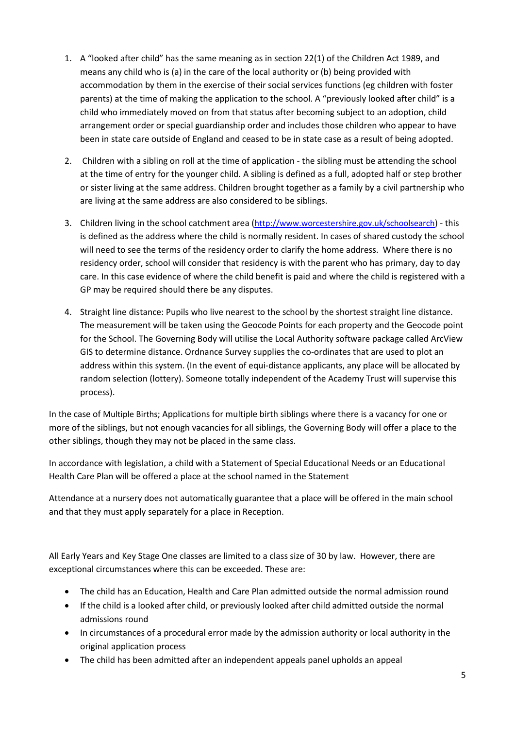- 1. A "looked after child" has the same meaning as in section 22(1) of the Children Act 1989, and means any child who is (a) in the care of the local authority or (b) being provided with accommodation by them in the exercise of their social services functions (eg children with foster parents) at the time of making the application to the school. A "previously looked after child" is a child who immediately moved on from that status after becoming subject to an adoption, child arrangement order or special guardianship order and includes those children who appear to have been in state care outside of England and ceased to be in state case as a result of being adopted.
- 2. Children with a sibling on roll at the time of application the sibling must be attending the school at the time of entry for the younger child. A sibling is defined as a full, adopted half or step brother or sister living at the same address. Children brought together as a family by a civil partnership who are living at the same address are also considered to be siblings.
- 3. Children living in the school catchment area (<http://www.worcestershire.gov.uk/schoolsearch>) this is defined as the address where the child is normally resident. In cases of shared custody the school will need to see the terms of the residency order to clarify the home address. Where there is no residency order, school will consider that residency is with the parent who has primary, day to day care. In this case evidence of where the child benefit is paid and where the child is registered with a GP may be required should there be any disputes.
- 4. Straight line distance: Pupils who live nearest to the school by the shortest straight line distance. The measurement will be taken using the Geocode Points for each property and the Geocode point for the School. The Governing Body will utilise the Local Authority software package called ArcView GIS to determine distance. Ordnance Survey supplies the co-ordinates that are used to plot an address within this system. (In the event of equi-distance applicants, any place will be allocated by random selection (lottery). Someone totally independent of the Academy Trust will supervise this process).

In the case of Multiple Births; Applications for multiple birth siblings where there is a vacancy for one or more of the siblings, but not enough vacancies for all siblings, the Governing Body will offer a place to the other siblings, though they may not be placed in the same class.

In accordance with legislation, a child with a Statement of Special Educational Needs or an Educational Health Care Plan will be offered a place at the school named in the Statement

Attendance at a nursery does not automatically guarantee that a place will be offered in the main school and that they must apply separately for a place in Reception.

All Early Years and Key Stage One classes are limited to a class size of 30 by law. However, there are exceptional circumstances where this can be exceeded. These are:

- The child has an Education, Health and Care Plan admitted outside the normal admission round
- If the child is a looked after child, or previously looked after child admitted outside the normal admissions round
- In circumstances of a procedural error made by the admission authority or local authority in the original application process
- The child has been admitted after an independent appeals panel upholds an appeal